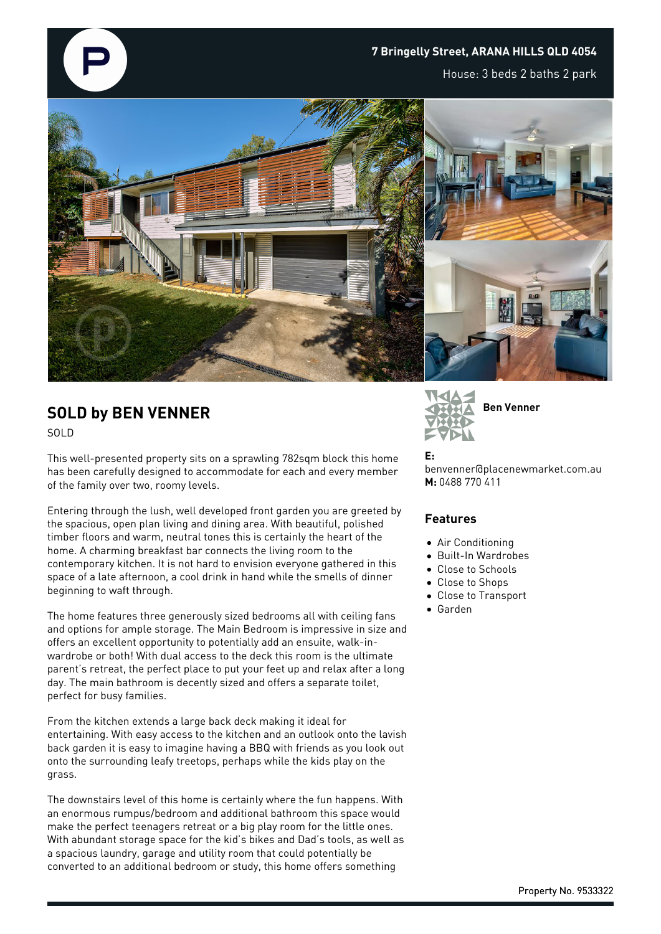### **7 Bringelly Street, ARANA HILLS QLD 4054**

House: 3 beds 2 baths 2 park



# **SOLD by BEN VENNER**

SOLD

This well-presented property sits on a sprawling 782sqm block this home has been carefully designed to accommodate for each and every member of the family over two, roomy levels.

Entering through the lush, well developed front garden you are greeted by the spacious, open plan living and dining area. With beautiful, polished timber floors and warm, neutral tones this is certainly the heart of the home. A charming breakfast bar connects the living room to the contemporary kitchen. It is not hard to envision everyone gathered in this space of a late afternoon, a cool drink in hand while the smells of dinner beginning to waft through.

The home features three generously sized bedrooms all with ceiling fans and options for ample storage. The Main Bedroom is impressive in size and offers an excellent opportunity to potentially add an ensuite, walk-inwardrobe or both! With dual access to the deck this room is the ultimate parent's retreat, the perfect place to put your feet up and relax after a long day. The main bathroom is decently sized and offers a separate toilet, perfect for busy families.

From the kitchen extends a large back deck making it ideal for entertaining. With easy access to the kitchen and an outlook onto the lavish back garden it is easy to imagine having a BBQ with friends as you look out onto the surrounding leafy treetops, perhaps while the kids play on the grass.

The downstairs level of this home is certainly where the fun happens. With an enormous rumpus/bedroom and additional bathroom this space would make the perfect teenagers retreat or a big play room for the little ones. With abundant storage space for the kid's bikes and Dad's tools, as well as a spacious laundry, garage and utility room that could potentially be converted to an additional bedroom or study, this home offers something



#### **E:**

benvenner@placenewmarket.com.au **M:** 0488 770 411

## **Features**

- Air Conditioning
- Built-In Wardrobes
- Close to Schools
- Close to Shops
- Close to Transport
- Garden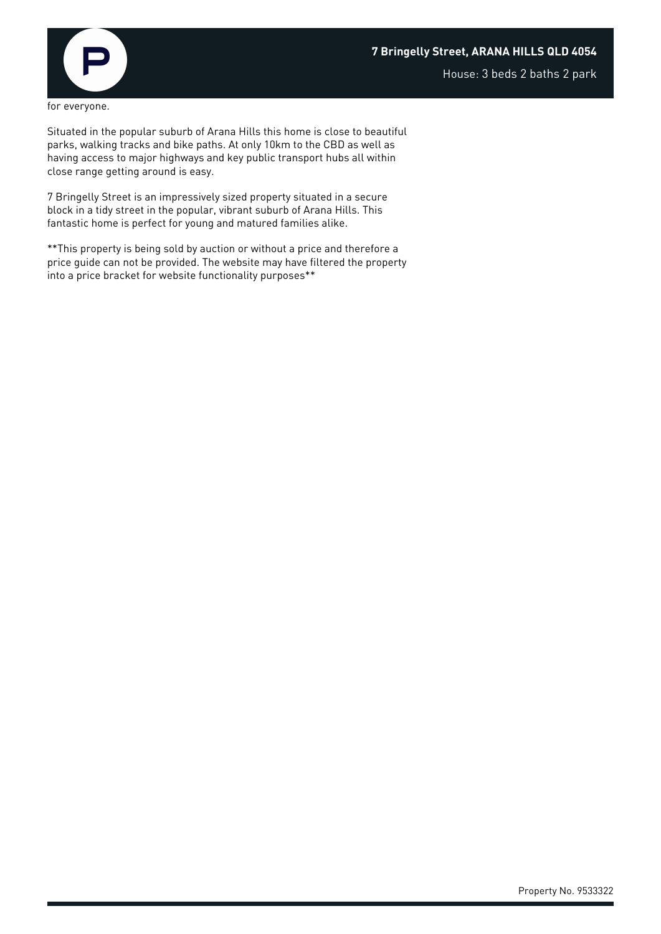

House: 3 beds 2 baths 2 park

Situated in the popular suburb of Arana Hills this home is close to beautiful parks, walking tracks and bike paths. At only 10km to the CBD as well as having access to major highways and key public transport hubs all within close range getting around is easy.

7 Bringelly Street is an impressively sized property situated in a secure block in a tidy street in the popular, vibrant suburb of Arana Hills. This fantastic home is perfect for young and matured families alike.

\*\*This property is being sold by auction or without a price and therefore a price guide can not be provided. The website may have filtered the property into a price bracket for website functionality purposes\*\*